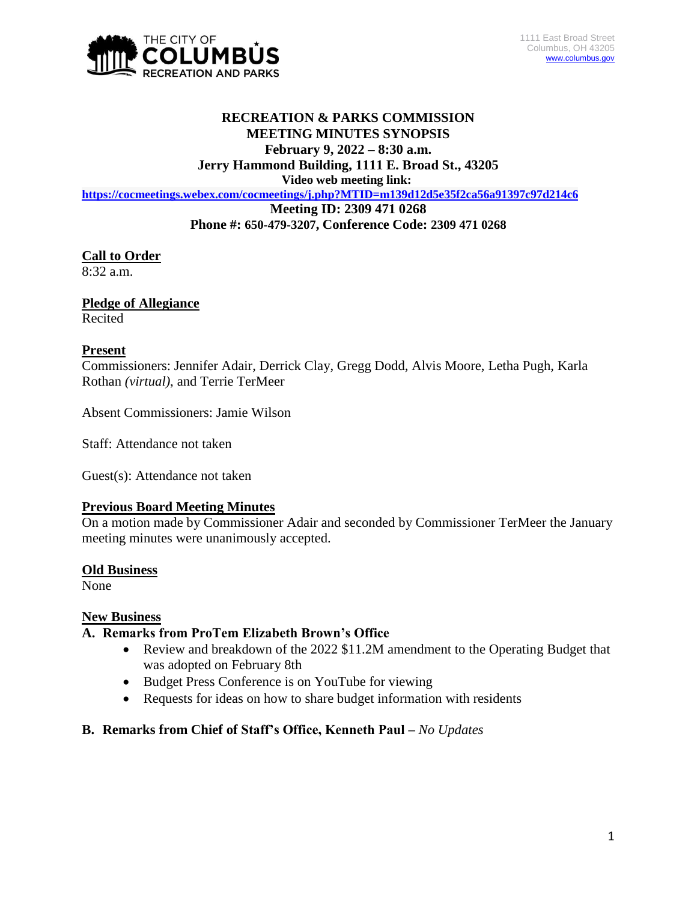

# **RECREATION & PARKS COMMISSION MEETING MINUTES SYNOPSIS February 9, 2022 – 8:30 a.m.**

**Jerry Hammond Building, 1111 E. Broad St., 43205**

**Video web meeting link:**

**<https://cocmeetings.webex.com/cocmeetings/j.php?MTID=m139d12d5e35f2ca56a91397c97d214c6>**

**Meeting ID: 2309 471 0268**

**Phone #: 650-479-3207, Conference Code: 2309 471 0268**

## **Call to Order**

 $8:32$  a.m.

## **Pledge of Allegiance**

Recited

### **Present**

Commissioners: Jennifer Adair, Derrick Clay, Gregg Dodd, Alvis Moore, Letha Pugh, Karla Rothan *(virtual)*, and Terrie TerMeer

Absent Commissioners: Jamie Wilson

Staff: Attendance not taken

Guest(s): Attendance not taken

#### **Previous Board Meeting Minutes**

On a motion made by Commissioner Adair and seconded by Commissioner TerMeer the January meeting minutes were unanimously accepted.

#### **Old Business**

None

#### **New Business**

## **A. Remarks from ProTem Elizabeth Brown's Office**

- Review and breakdown of the 2022 \$11.2M amendment to the Operating Budget that was adopted on February 8th
- Budget Press Conference is on YouTube for viewing
- Requests for ideas on how to share budget information with residents

## **B. Remarks from Chief of Staff's Office, Kenneth Paul –** *No Updates*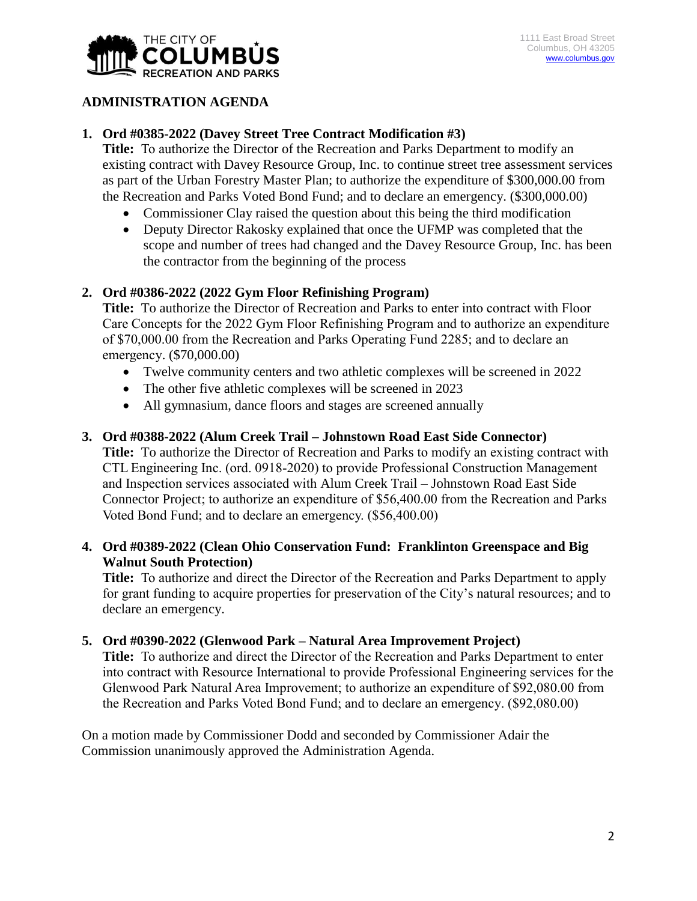

## **ADMINISTRATION AGENDA**

### **1. Ord #0385-2022 (Davey Street Tree Contract Modification #3)**

**Title:** To authorize the Director of the Recreation and Parks Department to modify an existing contract with Davey Resource Group, Inc. to continue street tree assessment services as part of the Urban Forestry Master Plan; to authorize the expenditure of \$300,000.00 from the Recreation and Parks Voted Bond Fund; and to declare an emergency. (\$300,000.00)

- Commissioner Clay raised the question about this being the third modification
- Deputy Director Rakosky explained that once the UFMP was completed that the scope and number of trees had changed and the Davey Resource Group, Inc. has been the contractor from the beginning of the process

### **2. Ord #0386-2022 (2022 Gym Floor Refinishing Program)**

**Title:** To authorize the Director of Recreation and Parks to enter into contract with Floor Care Concepts for the 2022 Gym Floor Refinishing Program and to authorize an expenditure of \$70,000.00 from the Recreation and Parks Operating Fund 2285; and to declare an emergency. (\$70,000.00)

- Twelve community centers and two athletic complexes will be screened in 2022
- The other five athletic complexes will be screened in 2023
- All gymnasium, dance floors and stages are screened annually

#### **3. Ord #0388-2022 (Alum Creek Trail – Johnstown Road East Side Connector)**

**Title:** To authorize the Director of Recreation and Parks to modify an existing contract with CTL Engineering Inc. (ord. 0918-2020) to provide Professional Construction Management and Inspection services associated with Alum Creek Trail – Johnstown Road East Side Connector Project; to authorize an expenditure of \$56,400.00 from the Recreation and Parks Voted Bond Fund; and to declare an emergency. (\$56,400.00)

### **4. Ord #0389-2022 (Clean Ohio Conservation Fund: Franklinton Greenspace and Big Walnut South Protection)**

**Title:** To authorize and direct the Director of the Recreation and Parks Department to apply for grant funding to acquire properties for preservation of the City's natural resources; and to declare an emergency.

#### **5. Ord #0390-2022 (Glenwood Park – Natural Area Improvement Project)**

**Title:** To authorize and direct the Director of the Recreation and Parks Department to enter into contract with Resource International to provide Professional Engineering services for the Glenwood Park Natural Area Improvement; to authorize an expenditure of \$92,080.00 from the Recreation and Parks Voted Bond Fund; and to declare an emergency. (\$92,080.00)

On a motion made by Commissioner Dodd and seconded by Commissioner Adair the Commission unanimously approved the Administration Agenda.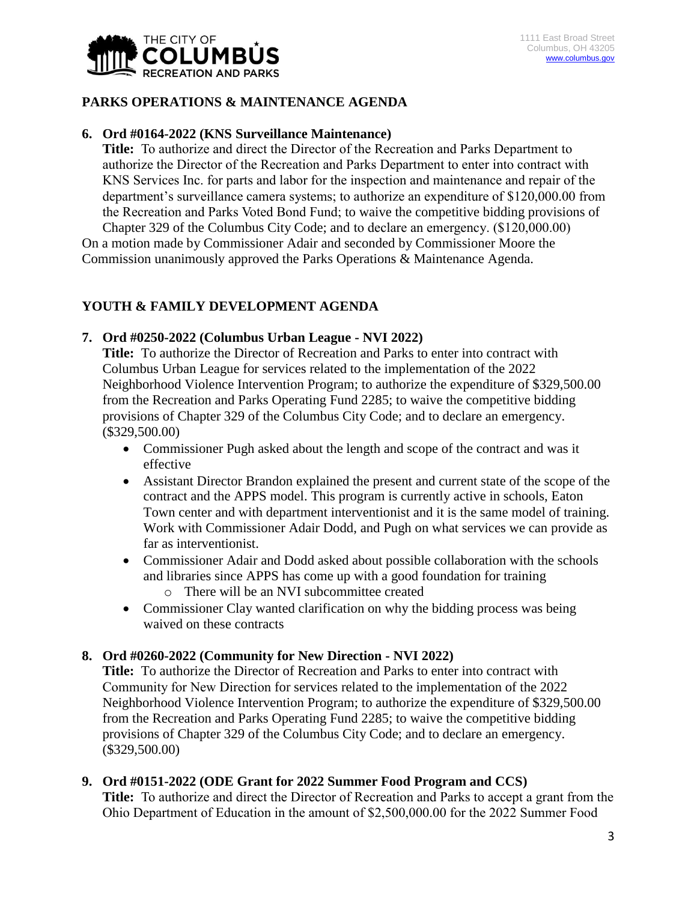

## **PARKS OPERATIONS & MAINTENANCE AGENDA**

#### **6. Ord #0164-2022 (KNS Surveillance Maintenance)**

**Title:** To authorize and direct the Director of the Recreation and Parks Department to authorize the Director of the Recreation and Parks Department to enter into contract with KNS Services Inc. for parts and labor for the inspection and maintenance and repair of the department's surveillance camera systems; to authorize an expenditure of \$120,000.00 from the Recreation and Parks Voted Bond Fund; to waive the competitive bidding provisions of Chapter 329 of the Columbus City Code; and to declare an emergency. (\$120,000.00)

On a motion made by Commissioner Adair and seconded by Commissioner Moore the Commission unanimously approved the Parks Operations & Maintenance Agenda.

## **YOUTH & FAMILY DEVELOPMENT AGENDA**

#### **7. Ord #0250-2022 (Columbus Urban League - NVI 2022)**

**Title:** To authorize the Director of Recreation and Parks to enter into contract with Columbus Urban League for services related to the implementation of the 2022 Neighborhood Violence Intervention Program; to authorize the expenditure of \$329,500.00 from the Recreation and Parks Operating Fund 2285; to waive the competitive bidding provisions of Chapter 329 of the Columbus City Code; and to declare an emergency. (\$329,500.00)

- Commissioner Pugh asked about the length and scope of the contract and was it effective
- Assistant Director Brandon explained the present and current state of the scope of the contract and the APPS model. This program is currently active in schools, Eaton Town center and with department interventionist and it is the same model of training. Work with Commissioner Adair Dodd, and Pugh on what services we can provide as far as interventionist.
- Commissioner Adair and Dodd asked about possible collaboration with the schools and libraries since APPS has come up with a good foundation for training
	- o There will be an NVI subcommittee created
- Commissioner Clay wanted clarification on why the bidding process was being waived on these contracts

#### **8. Ord #0260-2022 (Community for New Direction - NVI 2022)**

**Title:** To authorize the Director of Recreation and Parks to enter into contract with Community for New Direction for services related to the implementation of the 2022 Neighborhood Violence Intervention Program; to authorize the expenditure of \$329,500.00 from the Recreation and Parks Operating Fund 2285; to waive the competitive bidding provisions of Chapter 329 of the Columbus City Code; and to declare an emergency. (\$329,500.00)

#### **9. Ord #0151-2022 (ODE Grant for 2022 Summer Food Program and CCS)**

**Title:** To authorize and direct the Director of Recreation and Parks to accept a grant from the Ohio Department of Education in the amount of \$2,500,000.00 for the 2022 Summer Food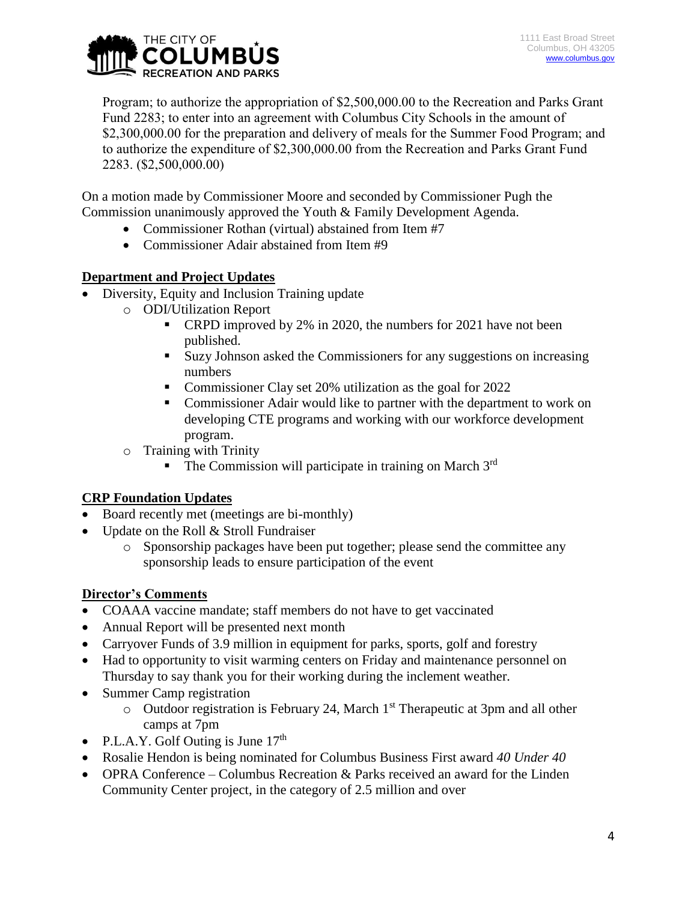

Program; to authorize the appropriation of \$2,500,000.00 to the Recreation and Parks Grant Fund 2283; to enter into an agreement with Columbus City Schools in the amount of \$2,300,000.00 for the preparation and delivery of meals for the Summer Food Program; and to authorize the expenditure of \$2,300,000.00 from the Recreation and Parks Grant Fund 2283. (\$2,500,000.00)

On a motion made by Commissioner Moore and seconded by Commissioner Pugh the Commission unanimously approved the Youth & Family Development Agenda.

- Commissioner Rothan (virtual) abstained from Item #7
- Commissioner Adair abstained from Item #9

## **Department and Project Updates**

- Diversity, Equity and Inclusion Training update
	- o ODI/Utilization Report
		- **•** CRPD improved by 2% in 2020, the numbers for 2021 have not been published.
		- Suzy Johnson asked the Commissioners for any suggestions on increasing numbers
		- Commissioner Clay set 20% utilization as the goal for 2022
		- Commissioner Adair would like to partner with the department to work on developing CTE programs and working with our workforce development program.
	- o Training with Trinity
		- The Commission will participate in training on March 3rd

## **CRP Foundation Updates**

- Board recently met (meetings are bi-monthly)
- Update on the Roll & Stroll Fundraiser
	- o Sponsorship packages have been put together; please send the committee any sponsorship leads to ensure participation of the event

## **Director's Comments**

- COAAA vaccine mandate; staff members do not have to get vaccinated
- Annual Report will be presented next month
- Carryover Funds of 3.9 million in equipment for parks, sports, golf and forestry
- Had to opportunity to visit warming centers on Friday and maintenance personnel on Thursday to say thank you for their working during the inclement weather.
- Summer Camp registration
	- $\circ$  Outdoor registration is February 24, March 1<sup>st</sup> Therapeutic at 3pm and all other camps at 7pm
- P.L.A.Y. Golf Outing is June  $17<sup>th</sup>$
- Rosalie Hendon is being nominated for Columbus Business First award *40 Under 40*
- OPRA Conference Columbus Recreation & Parks received an award for the Linden Community Center project, in the category of 2.5 million and over